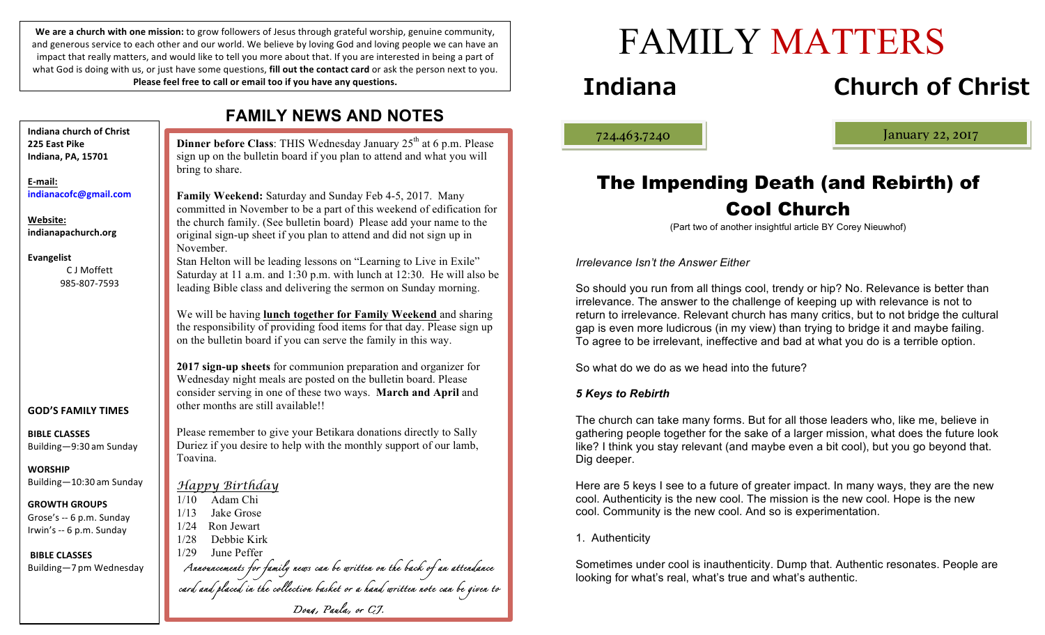We are a church with one mission: to grow followers of Jesus through grateful worship, genuine community, and generous service to each other and our world. We believe by loving God and loving people we can have an impact that really matters, and would like to tell you more about that. If you are interested in being a part of what God is doing with us, or just have some questions, **fill out the contact card** or ask the person next to you. Please feel free to call or email too if you have any questions.

| <b>FAMILY NEWS AND NOTES</b>                                           |                                                                                                                                                                                                                                           |
|------------------------------------------------------------------------|-------------------------------------------------------------------------------------------------------------------------------------------------------------------------------------------------------------------------------------------|
| <b>Indiana church of Christ</b><br>225 East Pike<br>Indiana, PA, 15701 | <b>Dinner before Class:</b> THIS Wednesday January 25 <sup>th</sup> at 6 p.m. Please<br>sign up on the bulletin board if you plan to attend and what you will<br>bring to share.                                                          |
| E-mail:<br>indianacofc@gmail.com                                       | Family Weekend: Saturday and Sunday Feb 4-5, 2017. Many<br>committed in November to be a part of this weekend of edification for                                                                                                          |
| Website:<br>indianapachurch.org                                        | the church family. (See bulletin board) Please add your name to the<br>original sign-up sheet if you plan to attend and did not sign up in<br>November.                                                                                   |
| <b>Evangelist</b><br>C J Moffett<br>985-807-7593                       | Stan Helton will be leading lessons on "Learning to Live in Exile"<br>Saturday at 11 a.m. and 1:30 p.m. with lunch at 12:30. He will also be<br>leading Bible class and delivering the sermon on Sunday morning.                          |
|                                                                        | We will be having lunch together for Family Weekend and sharing<br>the responsibility of providing food items for that day. Please sign up<br>on the bulletin board if you can serve the family in this way.                              |
| <b>GOD'S FAMILY TIMES</b>                                              | 2017 sign-up sheets for communion preparation and organizer for<br>Wednesday night meals are posted on the bulletin board. Please<br>consider serving in one of these two ways. March and April and<br>other months are still available!! |
|                                                                        |                                                                                                                                                                                                                                           |
| <b>BIBLE CLASSES</b><br>Building-9:30 am Sunday                        | Please remember to give your Betikara donations directly to Sally<br>Duriez if you desire to help with the monthly support of our lamb,<br>Toavina.                                                                                       |
| <b>WORSHIP</b>                                                         |                                                                                                                                                                                                                                           |
| Building-10:30 am Sunday                                               | <u>Happy Birthday</u>                                                                                                                                                                                                                     |
| <b>GROWTH GROUPS</b>                                                   | Adam Chi<br>1/10                                                                                                                                                                                                                          |
| Grose's -- 6 p.m. Sunday                                               | 1/13<br>Jake Grose<br>1/24<br>Ron Jewart                                                                                                                                                                                                  |
| Irwin's -- 6 p.m. Sunday                                               | 1/28<br>Debbie Kirk                                                                                                                                                                                                                       |
| <b>BIBLE CLASSES</b>                                                   | 1/29<br>June Peffer                                                                                                                                                                                                                       |
| Building-7 pm Wednesday                                                | Annorncements for family news can be written on the back of an attendance<br>card and placed in the collection basket or a hand written note can be given to                                                                              |
|                                                                        |                                                                                                                                                                                                                                           |
|                                                                        | Doug, Paula, or C.J.                                                                                                                                                                                                                      |

# FAMILY MATTERS

# **Indiana Church of Christ**

ļ

724.463.7240 January 22, 2017

## The Impending Death (and Rebirth) of Cool Church

(Part two of another insightful article BY Corey Nieuwhof)

*Irrelevance Isn't the Answer Either*

So should you run from all things cool, trendy or hip? No. Relevance is better than irrelevance. The answer to the challenge of keeping up with relevance is not to return to irrelevance. Relevant church has many critics, but to not bridge the cultural gap is even more ludicrous (in my view) than trying to bridge it and maybe failing. To agree to be irrelevant, ineffective and bad at what you do is a terrible option.

So what do we do as we head into the future?

#### *5 Keys to Rebirth*

The church can take many forms. But for all those leaders who, like me, believe in gathering people together for the sake of a larger mission, what does the future look like? I think you stay relevant (and maybe even a bit cool), but you go beyond that. Dig deeper.

Here are 5 keys I see to a future of greater impact. In many ways, they are the new cool. Authenticity is the new cool. The mission is the new cool. Hope is the new cool. Community is the new cool. And so is experimentation.

#### 1. Authenticity

Sometimes under cool is inauthenticity. Dump that. Authentic resonates. People are looking for what's real, what's true and what's authentic.